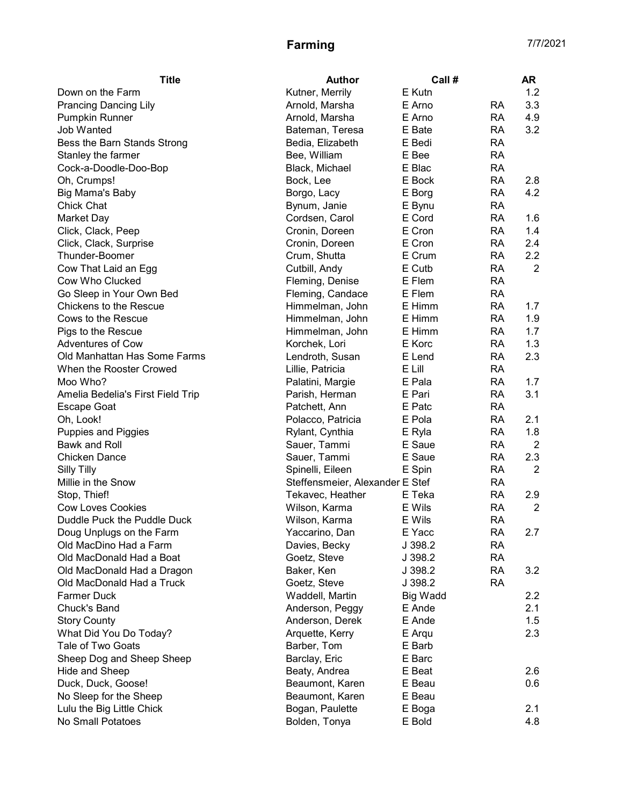| <b>Title</b>                      | <b>Author</b>                   | Call #   |           | <b>AR</b>        |
|-----------------------------------|---------------------------------|----------|-----------|------------------|
| Down on the Farm                  | Kutner, Merrily                 | E Kutn   |           | 1.2              |
| <b>Prancing Dancing Lily</b>      | Arnold, Marsha                  | E Arno   | RA        | 3.3              |
| <b>Pumpkin Runner</b>             | Arnold, Marsha                  | E Arno   | <b>RA</b> | 4.9              |
| Job Wanted                        | Bateman, Teresa                 | E Bate   | <b>RA</b> | 3.2              |
| Bess the Barn Stands Strong       | Bedia, Elizabeth                | E Bedi   | <b>RA</b> |                  |
| Stanley the farmer                | Bee, William                    | E Bee    | <b>RA</b> |                  |
| Cock-a-Doodle-Doo-Bop             | Black, Michael                  | E Blac   | <b>RA</b> |                  |
| Oh, Crumps!                       | Bock, Lee                       | E Bock   | <b>RA</b> | 2.8              |
| Big Mama's Baby                   | Borgo, Lacy                     | E Borg   | <b>RA</b> | 4.2              |
| <b>Chick Chat</b>                 | Bynum, Janie                    | E Bynu   | <b>RA</b> |                  |
| Market Day                        | Cordsen, Carol                  | E Cord   | <b>RA</b> | 1.6              |
| Click, Clack, Peep                | Cronin, Doreen                  | E Cron   | <b>RA</b> | 1.4              |
| Click, Clack, Surprise            | Cronin, Doreen                  | E Cron   | <b>RA</b> | 2.4              |
| Thunder-Boomer                    | Crum, Shutta                    | E Crum   | <b>RA</b> | 2.2              |
| Cow That Laid an Egg              | Cutbill, Andy                   | E Cutb   | <b>RA</b> | $\overline{2}$   |
| Cow Who Clucked                   | Fleming, Denise                 | E Flem   | <b>RA</b> |                  |
| Go Sleep in Your Own Bed          | Fleming, Candace                | E Flem   | <b>RA</b> |                  |
| <b>Chickens to the Rescue</b>     | Himmelman, John                 | E Himm   | <b>RA</b> | 1.7              |
| Cows to the Rescue                | Himmelman, John                 | E Himm   | <b>RA</b> | 1.9              |
| Pigs to the Rescue                | Himmelman, John                 | E Himm   | <b>RA</b> | 1.7              |
| <b>Adventures of Cow</b>          | Korchek, Lori                   | E Korc   | <b>RA</b> | 1.3              |
| Old Manhattan Has Some Farms      | Lendroth, Susan                 | E Lend   | <b>RA</b> | 2.3              |
| When the Rooster Crowed           | Lillie, Patricia                | E Lill   | <b>RA</b> |                  |
| Moo Who?                          | Palatini, Margie                | E Pala   | <b>RA</b> | 1.7              |
| Amelia Bedelia's First Field Trip | Parish, Herman                  | E Pari   | <b>RA</b> | 3.1              |
| <b>Escape Goat</b>                | Patchett, Ann                   | E Patc   | <b>RA</b> |                  |
| Oh, Look!                         | Polacco, Patricia               | E Pola   | <b>RA</b> | 2.1              |
| <b>Puppies and Piggies</b>        | Rylant, Cynthia                 | E Ryla   | <b>RA</b> | 1.8              |
| Bawk and Roll                     | Sauer, Tammi                    | E Saue   | <b>RA</b> | $\overline{2}$   |
| <b>Chicken Dance</b>              | Sauer, Tammi                    | E Saue   | <b>RA</b> | 2.3              |
| <b>Silly Tilly</b>                | Spinelli, Eileen                | E Spin   | <b>RA</b> | 2                |
| Millie in the Snow                | Steffensmeier, Alexander E Stef |          | RA        |                  |
| Stop, Thief!                      | Tekavec, Heather                | E Teka   | <b>RA</b> | 2.9              |
| <b>Cow Loves Cookies</b>          | Wilson, Karma                   | E Wils   | <b>RA</b> | $\overline{2}$   |
| Duddle Puck the Puddle Duck       | Wilson, Karma                   | E Wils   | <b>RA</b> |                  |
| Doug Unplugs on the Farm          | Yaccarino, Dan                  | E Yacc   | <b>RA</b> | 2.7              |
| Old MacDino Had a Farm            | Davies, Becky                   | J 398.2  | RA        |                  |
| Old MacDonald Had a Boat          | Goetz, Steve                    | J 398.2  | <b>RA</b> |                  |
| Old MacDonald Had a Dragon        | Baker, Ken                      | J 398.2  | <b>RA</b> | 3.2              |
| Old MacDonald Had a Truck         | Goetz, Steve                    | J 398.2  | <b>RA</b> |                  |
| <b>Farmer Duck</b>                | Waddell, Martin                 | Big Wadd |           | $2.2\phantom{0}$ |
| Chuck's Band                      | Anderson, Peggy                 | E Ande   |           | 2.1              |
| <b>Story County</b>               | Anderson, Derek                 | E Ande   |           | 1.5              |
| What Did You Do Today?            | Arquette, Kerry                 | E Arqu   |           | 2.3              |
| Tale of Two Goats                 | Barber, Tom                     | E Barb   |           |                  |
| Sheep Dog and Sheep Sheep         | Barclay, Eric                   | E Barc   |           |                  |
| Hide and Sheep                    | Beaty, Andrea                   | E Beat   |           | 2.6              |
| Duck, Duck, Goose!                | Beaumont, Karen                 | E Beau   |           | 0.6              |
| No Sleep for the Sheep            | Beaumont, Karen                 | E Beau   |           |                  |
| Lulu the Big Little Chick         | Bogan, Paulette                 | E Boga   |           | 2.1              |
| No Small Potatoes                 | Bolden, Tonya                   | E Bold   |           | 4.8              |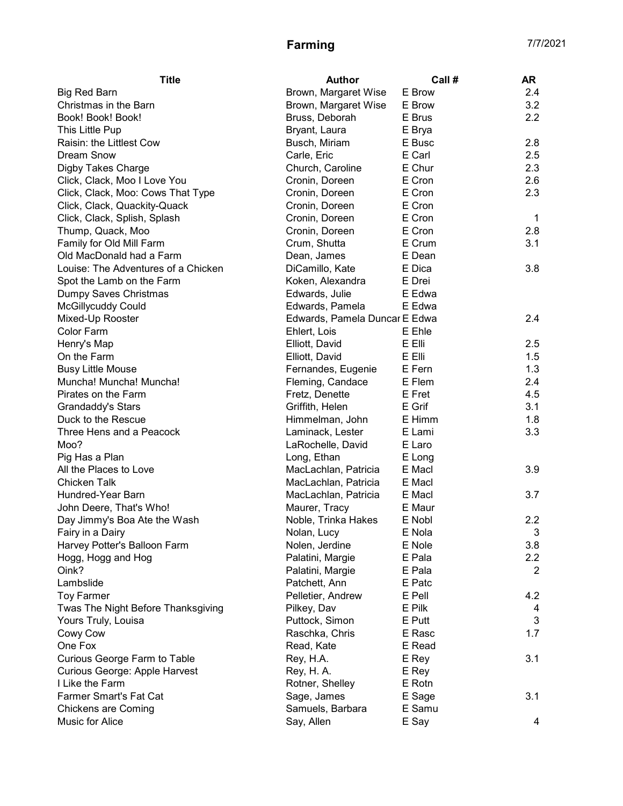| <b>Title</b>                        | Author                        | Call#  | AR          |
|-------------------------------------|-------------------------------|--------|-------------|
| <b>Big Red Barn</b>                 | Brown, Margaret Wise          | E Brow | 2.4         |
| Christmas in the Barn               | Brown, Margaret Wise          | E Brow | 3.2         |
| Book! Book! Book!                   | Bruss, Deborah                | E Brus | 2.2         |
| This Little Pup                     | Bryant, Laura                 | E Brya |             |
| Raisin: the Littlest Cow            | Busch, Miriam                 | E Busc | 2.8         |
| <b>Dream Snow</b>                   | Carle, Eric                   | E Carl | 2.5         |
| Digby Takes Charge                  | Church, Caroline              | E Chur | 2.3         |
| Click, Clack, Moo I Love You        | Cronin, Doreen                | E Cron | 2.6         |
| Click, Clack, Moo: Cows That Type   | Cronin, Doreen                | E Cron | 2.3         |
| Click, Clack, Quackity-Quack        | Cronin, Doreen                | E Cron |             |
| Click, Clack, Splish, Splash        | Cronin, Doreen                | E Cron | $\mathbf 1$ |
| Thump, Quack, Moo                   | Cronin, Doreen                | E Cron | 2.8         |
| Family for Old Mill Farm            | Crum, Shutta                  | E Crum | 3.1         |
| Old MacDonald had a Farm            | Dean, James                   | E Dean |             |
| Louise: The Adventures of a Chicken | DiCamillo, Kate               | E Dica | 3.8         |
| Spot the Lamb on the Farm           | Koken, Alexandra              | E Drei |             |
| Dumpy Saves Christmas               | Edwards, Julie                | E Edwa |             |
| <b>McGillycuddy Could</b>           | Edwards, Pamela               | E Edwa |             |
| Mixed-Up Rooster                    | Edwards, Pamela Duncar E Edwa |        | 2.4         |
| Color Farm                          | Ehlert, Lois                  | E Ehle |             |
| Henry's Map                         | Elliott, David                | E Elli | 2.5         |
| On the Farm                         | Elliott, David                | E Elli | 1.5         |
| <b>Busy Little Mouse</b>            | Fernandes, Eugenie            | E Fern | 1.3         |
| Muncha! Muncha! Muncha!             | Fleming, Candace              | E Flem | 2.4         |
| Pirates on the Farm                 | Fretz, Denette                | E Fret | 4.5         |
| Grandaddy's Stars                   | Griffith, Helen               | E Grif | 3.1         |
| Duck to the Rescue                  | Himmelman, John               | E Himm | 1.8         |
| Three Hens and a Peacock            | Laminack, Lester              | E Lami | 3.3         |
| Moo?                                | LaRochelle, David             | E Laro |             |
| Pig Has a Plan                      | Long, Ethan                   | E Long |             |
| All the Places to Love              | MacLachlan, Patricia          | E Macl | 3.9         |
| Chicken Talk                        | MacLachlan, Patricia          | E Macl |             |
| Hundred-Year Barn                   | MacLachlan, Patricia          | E Macl | 3.7         |
| John Deere, That's Who!             | Maurer, Tracy                 | E Maur |             |
| Day Jimmy's Boa Ate the Wash        | Noble, Trinka Hakes           | E Nobl | 2.2         |
| Fairy in a Dairy                    | Nolan, Lucy                   | E Nola | 3           |
| Harvey Potter's Balloon Farm        | Nolen, Jerdine                | E Nole | 3.8         |
| Hogg, Hogg and Hog                  | Palatini, Margie              | E Pala | 2.2         |
| Oink?                               | Palatini, Margie              | E Pala | 2           |
| Lambslide                           | Patchett, Ann                 | E Patc |             |
| <b>Toy Farmer</b>                   | Pelletier, Andrew             | E Pell | 4.2         |
| Twas The Night Before Thanksgiving  | Pilkey, Dav                   | E Pilk | 4           |
| Yours Truly, Louisa                 | Puttock, Simon                | E Putt | 3           |
| Cowy Cow                            | Raschka, Chris                | E Rasc | 1.7         |
| One Fox                             | Read, Kate                    | E Read |             |
| Curious George Farm to Table        | Rey, H.A.                     | E Rey  | 3.1         |
| Curious George: Apple Harvest       | Rey, H. A.                    | E Rey  |             |
| I Like the Farm                     | Rotner, Shelley               | E Rotn |             |
| Farmer Smart's Fat Cat              | Sage, James                   | E Sage | 3.1         |
| <b>Chickens are Coming</b>          | Samuels, Barbara              | E Samu |             |
| Music for Alice                     | Say, Allen                    | E Say  | 4           |
|                                     |                               |        |             |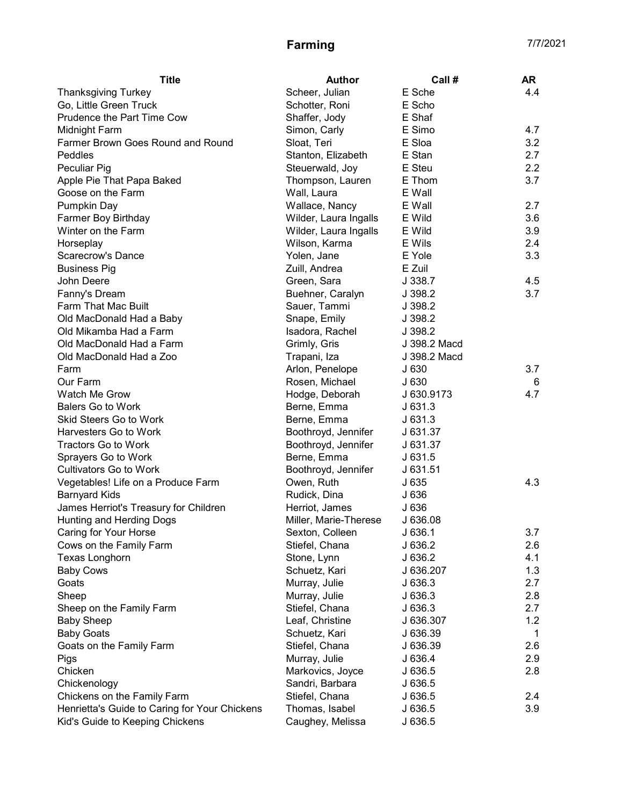| Scheer, Julian<br>E Sche<br>4.4<br><b>Thanksgiving Turkey</b><br>Go, Little Green Truck<br>E Scho<br>Schotter, Roni<br>Prudence the Part Time Cow<br>Shaffer, Jody<br>E Shaf<br>Simon, Carly<br>E Simo<br>4.7<br>Midnight Farm<br>3.2<br>Farmer Brown Goes Round and Round<br>Sloat, Teri<br>E Sloa<br>2.7<br>Peddles<br>E Stan<br>Stanton, Elizabeth |   |
|-------------------------------------------------------------------------------------------------------------------------------------------------------------------------------------------------------------------------------------------------------------------------------------------------------------------------------------------------------|---|
|                                                                                                                                                                                                                                                                                                                                                       |   |
|                                                                                                                                                                                                                                                                                                                                                       |   |
|                                                                                                                                                                                                                                                                                                                                                       |   |
|                                                                                                                                                                                                                                                                                                                                                       |   |
|                                                                                                                                                                                                                                                                                                                                                       |   |
|                                                                                                                                                                                                                                                                                                                                                       |   |
| E Steu<br>2.2<br>Peculiar Pig<br>Steuerwald, Joy                                                                                                                                                                                                                                                                                                      |   |
| 3.7<br>Apple Pie That Papa Baked<br>E Thom<br>Thompson, Lauren                                                                                                                                                                                                                                                                                        |   |
| Goose on the Farm<br>Wall, Laura<br>E Wall                                                                                                                                                                                                                                                                                                            |   |
| Pumpkin Day<br>Wallace, Nancy<br>E Wall<br>2.7                                                                                                                                                                                                                                                                                                        |   |
| Farmer Boy Birthday<br>Wilder, Laura Ingalls<br>E Wild<br>3.6                                                                                                                                                                                                                                                                                         |   |
| 3.9<br>Winter on the Farm<br>Wilder, Laura Ingalls<br>E Wild                                                                                                                                                                                                                                                                                          |   |
| E Wils<br>2.4<br>Horseplay<br>Wilson, Karma                                                                                                                                                                                                                                                                                                           |   |
| 3.3<br>E Yole<br>Scarecrow's Dance<br>Yolen, Jane                                                                                                                                                                                                                                                                                                     |   |
| E Zuil<br><b>Business Pig</b><br>Zuill, Andrea                                                                                                                                                                                                                                                                                                        |   |
| 4.5<br>John Deere<br>Green, Sara<br>J 338.7                                                                                                                                                                                                                                                                                                           |   |
| 3.7<br>Fanny's Dream<br>Buehner, Caralyn<br>J 398.2                                                                                                                                                                                                                                                                                                   |   |
| Farm That Mac Built<br>Sauer, Tammi<br>J 398.2                                                                                                                                                                                                                                                                                                        |   |
| Old MacDonald Had a Baby<br>Snape, Emily<br>J 398.2                                                                                                                                                                                                                                                                                                   |   |
| Old Mikamba Had a Farm<br>J 398.2<br>Isadora, Rachel                                                                                                                                                                                                                                                                                                  |   |
| Old MacDonald Had a Farm<br>J 398.2 Macd<br>Grimly, Gris                                                                                                                                                                                                                                                                                              |   |
| Old MacDonald Had a Zoo<br>Trapani, Iza<br>J 398.2 Macd                                                                                                                                                                                                                                                                                               |   |
| 3.7<br>Farm<br>Arlon, Penelope<br>J630                                                                                                                                                                                                                                                                                                                |   |
| Our Farm<br>Rosen, Michael<br>J 630                                                                                                                                                                                                                                                                                                                   | 6 |
| Watch Me Grow<br>Hodge, Deborah<br>J 630.9173<br>4.7                                                                                                                                                                                                                                                                                                  |   |
| <b>Balers Go to Work</b><br>Berne, Emma<br>J631.3                                                                                                                                                                                                                                                                                                     |   |
| <b>Skid Steers Go to Work</b><br>Berne, Emma<br>J631.3                                                                                                                                                                                                                                                                                                |   |
| Harvesters Go to Work<br>Boothroyd, Jennifer<br>J 631.37                                                                                                                                                                                                                                                                                              |   |
| <b>Tractors Go to Work</b><br>Boothroyd, Jennifer<br>J 631.37                                                                                                                                                                                                                                                                                         |   |
| Berne, Emma<br>Sprayers Go to Work<br>J631.5                                                                                                                                                                                                                                                                                                          |   |
| <b>Cultivators Go to Work</b><br>Boothroyd, Jennifer<br>J 631.51                                                                                                                                                                                                                                                                                      |   |
| 4.3<br>Owen, Ruth<br>J 635<br>Vegetables! Life on a Produce Farm                                                                                                                                                                                                                                                                                      |   |
| J 636<br><b>Barnyard Kids</b><br>Rudick, Dina                                                                                                                                                                                                                                                                                                         |   |
| James Herriot's Treasury for Children<br>J 636<br>Herriot, James                                                                                                                                                                                                                                                                                      |   |
| Miller, Marie-Therese<br>J 636.08<br>Hunting and Herding Dogs                                                                                                                                                                                                                                                                                         |   |
| Caring for Your Horse<br>J636.1<br>3.7<br>Sexton, Colleen                                                                                                                                                                                                                                                                                             |   |
| J 636.2<br>Cows on the Family Farm<br>Stiefel, Chana<br>2.6                                                                                                                                                                                                                                                                                           |   |
| J 636.2<br>4.1<br>Texas Longhorn<br>Stone, Lynn                                                                                                                                                                                                                                                                                                       |   |
| 1.3<br><b>Baby Cows</b><br>J 636.207<br>Schuetz, Kari                                                                                                                                                                                                                                                                                                 |   |
| J 636.3<br>2.7<br>Goats<br>Murray, Julie                                                                                                                                                                                                                                                                                                              |   |
| Murray, Julie<br>2.8<br>Sheep<br>J636.3                                                                                                                                                                                                                                                                                                               |   |
| Sheep on the Family Farm<br>Stiefel, Chana<br>J 636.3<br>2.7                                                                                                                                                                                                                                                                                          |   |
| Leaf, Christine<br>1.2<br><b>Baby Sheep</b><br>J 636.307                                                                                                                                                                                                                                                                                              |   |
| <b>Baby Goats</b><br>Schuetz, Kari<br>J 636.39                                                                                                                                                                                                                                                                                                        | 1 |
| Goats on the Family Farm<br>Stiefel, Chana<br>2.6<br>J 636.39                                                                                                                                                                                                                                                                                         |   |
| Murray, Julie<br>2.9<br>J 636.4<br>Pigs                                                                                                                                                                                                                                                                                                               |   |
| Chicken<br>Markovics, Joyce<br>2.8<br>J636.5                                                                                                                                                                                                                                                                                                          |   |
| Sandri, Barbara<br>J 636.5<br>Chickenology                                                                                                                                                                                                                                                                                                            |   |
| Chickens on the Family Farm<br>Stiefel, Chana<br>J636.5<br>2.4                                                                                                                                                                                                                                                                                        |   |
| Henrietta's Guide to Caring for Your Chickens<br>Thomas, Isabel<br>3.9<br>J 636.5                                                                                                                                                                                                                                                                     |   |
| Kid's Guide to Keeping Chickens<br>Caughey, Melissa<br>J 636.5                                                                                                                                                                                                                                                                                        |   |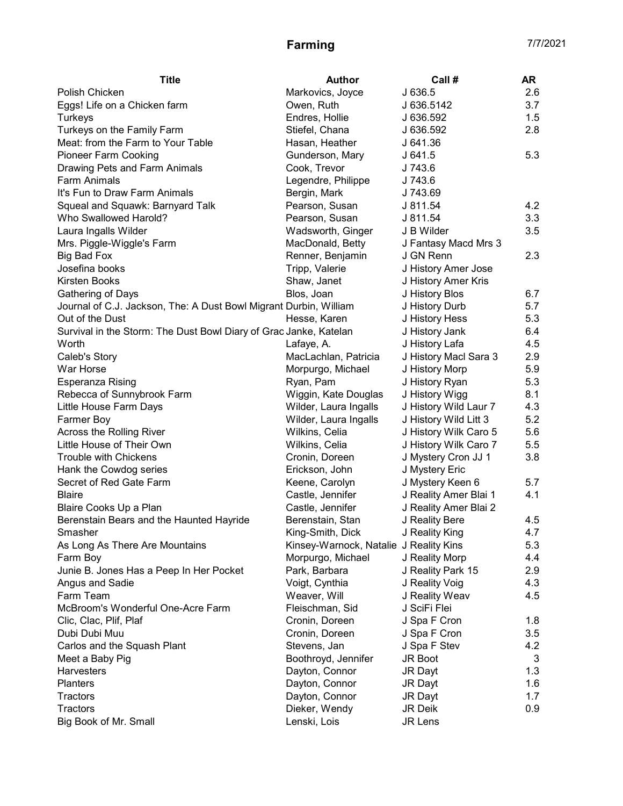| Markovics, Joyce<br>J 636.5<br>2.6<br>Polish Chicken<br>3.7<br>Eggs! Life on a Chicken farm<br>Owen, Ruth<br>J 636.5142<br>1.5<br>Turkeys<br>Endres, Hollie<br>J 636.592<br>Turkeys on the Family Farm<br>Stiefel, Chana<br>2.8<br>J 636.592<br>Meat: from the Farm to Your Table<br>Hasan, Heather<br>J 641.36<br>5.3<br><b>Pioneer Farm Cooking</b><br>Gunderson, Mary<br>J 641.5<br>Drawing Pets and Farm Animals<br>Cook, Trevor<br>J 743.6<br><b>Farm Animals</b><br>Legendre, Philippe<br>J 743.6<br>It's Fun to Draw Farm Animals<br>Bergin, Mark<br>J 743.69<br>4.2<br>Squeal and Squawk: Barnyard Talk<br>Pearson, Susan<br>J 811.54<br>3.3<br>Who Swallowed Harold?<br>Pearson, Susan<br>J 811.54<br>Laura Ingalls Wilder<br>Wadsworth, Ginger<br>3.5<br>J B Wilder<br>MacDonald, Betty<br>Mrs. Piggle-Wiggle's Farm<br>J Fantasy Macd Mrs 3<br>2.3<br>Renner, Benjamin<br>J GN Renn<br>Big Bad Fox<br>Josefina books<br>Tripp, Valerie<br>J History Amer Jose<br>Kirsten Books<br>Shaw, Janet<br>J History Amer Kris<br>6.7<br><b>Gathering of Days</b><br>Blos, Joan<br>J History Blos<br>5.7<br>Journal of C.J. Jackson, The: A Dust Bowl Migrant Durbin, William<br>J History Durb<br>5.3<br>Out of the Dust<br>Hesse, Karen<br>J History Hess<br>Survival in the Storm: The Dust Bowl Diary of Grac Janke, Katelan<br>J History Jank<br>6.4<br>J History Lafa<br>4.5<br>Worth<br>Lafaye, A.<br>2.9<br>Caleb's Story<br>MacLachlan, Patricia<br>J History Macl Sara 3<br>War Horse<br>5.9<br>Morpurgo, Michael<br>J History Morp<br>5.3<br>Esperanza Rising<br>Ryan, Pam<br>J History Ryan<br>Rebecca of Sunnybrook Farm<br>8.1<br>Wiggin, Kate Douglas<br>J History Wigg<br>Wilder, Laura Ingalls<br>4.3<br>Little House Farm Days<br>J History Wild Laur 7<br>5.2<br>Farmer Boy<br>Wilder, Laura Ingalls<br>J History Wild Litt 3<br>Across the Rolling River<br>5.6<br>Wilkins, Celia<br>J History Wilk Caro 5<br>Little House of Their Own<br>J History Wilk Caro 7<br>5.5<br>Wilkins, Celia<br><b>Trouble with Chickens</b><br>J Mystery Cron JJ 1<br>3.8<br>Cronin, Doreen<br>Hank the Cowdog series<br>Erickson, John<br>J Mystery Eric<br>Secret of Red Gate Farm<br>Keene, Carolyn<br>J Mystery Keen 6<br>5.7<br>Castle, Jennifer<br>4.1<br><b>Blaire</b><br>J Reality Amer Blai 1<br>Castle, Jennifer<br>J Reality Amer Blai 2<br>Blaire Cooks Up a Plan<br>J Reality Bere<br>Berenstain Bears and the Haunted Hayride<br>Berenstain, Stan<br>4.5<br>King-Smith, Dick<br>J Reality King<br>4.7<br>Smasher<br>5.3<br>As Long As There Are Mountains<br>Kinsey-Warnock, Natalie J Reality Kins<br>4.4<br>Morpurgo, Michael<br>J Reality Morp<br>Farm Boy<br>Junie B. Jones Has a Peep In Her Pocket<br>Park, Barbara<br>J Reality Park 15<br>2.9<br>4.3<br>Angus and Sadie<br>Voigt, Cynthia<br>J Reality Voig<br>Farm Team<br>4.5<br>Weaver, Will<br>J Reality Weav<br>McBroom's Wonderful One-Acre Farm<br>J SciFi Flei<br>Fleischman, Sid<br>Clic, Clac, Plif, Plaf<br>Cronin, Doreen<br>J Spa F Cron<br>1.8<br>Dubi Dubi Muu<br>Cronin, Doreen<br>J Spa F Cron<br>3.5 | <b>Title</b> | <b>Author</b> | Call# | AR |
|-------------------------------------------------------------------------------------------------------------------------------------------------------------------------------------------------------------------------------------------------------------------------------------------------------------------------------------------------------------------------------------------------------------------------------------------------------------------------------------------------------------------------------------------------------------------------------------------------------------------------------------------------------------------------------------------------------------------------------------------------------------------------------------------------------------------------------------------------------------------------------------------------------------------------------------------------------------------------------------------------------------------------------------------------------------------------------------------------------------------------------------------------------------------------------------------------------------------------------------------------------------------------------------------------------------------------------------------------------------------------------------------------------------------------------------------------------------------------------------------------------------------------------------------------------------------------------------------------------------------------------------------------------------------------------------------------------------------------------------------------------------------------------------------------------------------------------------------------------------------------------------------------------------------------------------------------------------------------------------------------------------------------------------------------------------------------------------------------------------------------------------------------------------------------------------------------------------------------------------------------------------------------------------------------------------------------------------------------------------------------------------------------------------------------------------------------------------------------------------------------------------------------------------------------------------------------------------------------------------------------------------------------------------------------------------------------------------------------------------------------------------------------------------------------------------------------------------------------------------------------------------------------------------------------------------------------------------------------------------------------------------------------------------------------------------------------------------------------|--------------|---------------|-------|----|
|                                                                                                                                                                                                                                                                                                                                                                                                                                                                                                                                                                                                                                                                                                                                                                                                                                                                                                                                                                                                                                                                                                                                                                                                                                                                                                                                                                                                                                                                                                                                                                                                                                                                                                                                                                                                                                                                                                                                                                                                                                                                                                                                                                                                                                                                                                                                                                                                                                                                                                                                                                                                                                                                                                                                                                                                                                                                                                                                                                                                                                                                                                 |              |               |       |    |
|                                                                                                                                                                                                                                                                                                                                                                                                                                                                                                                                                                                                                                                                                                                                                                                                                                                                                                                                                                                                                                                                                                                                                                                                                                                                                                                                                                                                                                                                                                                                                                                                                                                                                                                                                                                                                                                                                                                                                                                                                                                                                                                                                                                                                                                                                                                                                                                                                                                                                                                                                                                                                                                                                                                                                                                                                                                                                                                                                                                                                                                                                                 |              |               |       |    |
|                                                                                                                                                                                                                                                                                                                                                                                                                                                                                                                                                                                                                                                                                                                                                                                                                                                                                                                                                                                                                                                                                                                                                                                                                                                                                                                                                                                                                                                                                                                                                                                                                                                                                                                                                                                                                                                                                                                                                                                                                                                                                                                                                                                                                                                                                                                                                                                                                                                                                                                                                                                                                                                                                                                                                                                                                                                                                                                                                                                                                                                                                                 |              |               |       |    |
|                                                                                                                                                                                                                                                                                                                                                                                                                                                                                                                                                                                                                                                                                                                                                                                                                                                                                                                                                                                                                                                                                                                                                                                                                                                                                                                                                                                                                                                                                                                                                                                                                                                                                                                                                                                                                                                                                                                                                                                                                                                                                                                                                                                                                                                                                                                                                                                                                                                                                                                                                                                                                                                                                                                                                                                                                                                                                                                                                                                                                                                                                                 |              |               |       |    |
|                                                                                                                                                                                                                                                                                                                                                                                                                                                                                                                                                                                                                                                                                                                                                                                                                                                                                                                                                                                                                                                                                                                                                                                                                                                                                                                                                                                                                                                                                                                                                                                                                                                                                                                                                                                                                                                                                                                                                                                                                                                                                                                                                                                                                                                                                                                                                                                                                                                                                                                                                                                                                                                                                                                                                                                                                                                                                                                                                                                                                                                                                                 |              |               |       |    |
|                                                                                                                                                                                                                                                                                                                                                                                                                                                                                                                                                                                                                                                                                                                                                                                                                                                                                                                                                                                                                                                                                                                                                                                                                                                                                                                                                                                                                                                                                                                                                                                                                                                                                                                                                                                                                                                                                                                                                                                                                                                                                                                                                                                                                                                                                                                                                                                                                                                                                                                                                                                                                                                                                                                                                                                                                                                                                                                                                                                                                                                                                                 |              |               |       |    |
|                                                                                                                                                                                                                                                                                                                                                                                                                                                                                                                                                                                                                                                                                                                                                                                                                                                                                                                                                                                                                                                                                                                                                                                                                                                                                                                                                                                                                                                                                                                                                                                                                                                                                                                                                                                                                                                                                                                                                                                                                                                                                                                                                                                                                                                                                                                                                                                                                                                                                                                                                                                                                                                                                                                                                                                                                                                                                                                                                                                                                                                                                                 |              |               |       |    |
|                                                                                                                                                                                                                                                                                                                                                                                                                                                                                                                                                                                                                                                                                                                                                                                                                                                                                                                                                                                                                                                                                                                                                                                                                                                                                                                                                                                                                                                                                                                                                                                                                                                                                                                                                                                                                                                                                                                                                                                                                                                                                                                                                                                                                                                                                                                                                                                                                                                                                                                                                                                                                                                                                                                                                                                                                                                                                                                                                                                                                                                                                                 |              |               |       |    |
|                                                                                                                                                                                                                                                                                                                                                                                                                                                                                                                                                                                                                                                                                                                                                                                                                                                                                                                                                                                                                                                                                                                                                                                                                                                                                                                                                                                                                                                                                                                                                                                                                                                                                                                                                                                                                                                                                                                                                                                                                                                                                                                                                                                                                                                                                                                                                                                                                                                                                                                                                                                                                                                                                                                                                                                                                                                                                                                                                                                                                                                                                                 |              |               |       |    |
|                                                                                                                                                                                                                                                                                                                                                                                                                                                                                                                                                                                                                                                                                                                                                                                                                                                                                                                                                                                                                                                                                                                                                                                                                                                                                                                                                                                                                                                                                                                                                                                                                                                                                                                                                                                                                                                                                                                                                                                                                                                                                                                                                                                                                                                                                                                                                                                                                                                                                                                                                                                                                                                                                                                                                                                                                                                                                                                                                                                                                                                                                                 |              |               |       |    |
|                                                                                                                                                                                                                                                                                                                                                                                                                                                                                                                                                                                                                                                                                                                                                                                                                                                                                                                                                                                                                                                                                                                                                                                                                                                                                                                                                                                                                                                                                                                                                                                                                                                                                                                                                                                                                                                                                                                                                                                                                                                                                                                                                                                                                                                                                                                                                                                                                                                                                                                                                                                                                                                                                                                                                                                                                                                                                                                                                                                                                                                                                                 |              |               |       |    |
|                                                                                                                                                                                                                                                                                                                                                                                                                                                                                                                                                                                                                                                                                                                                                                                                                                                                                                                                                                                                                                                                                                                                                                                                                                                                                                                                                                                                                                                                                                                                                                                                                                                                                                                                                                                                                                                                                                                                                                                                                                                                                                                                                                                                                                                                                                                                                                                                                                                                                                                                                                                                                                                                                                                                                                                                                                                                                                                                                                                                                                                                                                 |              |               |       |    |
|                                                                                                                                                                                                                                                                                                                                                                                                                                                                                                                                                                                                                                                                                                                                                                                                                                                                                                                                                                                                                                                                                                                                                                                                                                                                                                                                                                                                                                                                                                                                                                                                                                                                                                                                                                                                                                                                                                                                                                                                                                                                                                                                                                                                                                                                                                                                                                                                                                                                                                                                                                                                                                                                                                                                                                                                                                                                                                                                                                                                                                                                                                 |              |               |       |    |
|                                                                                                                                                                                                                                                                                                                                                                                                                                                                                                                                                                                                                                                                                                                                                                                                                                                                                                                                                                                                                                                                                                                                                                                                                                                                                                                                                                                                                                                                                                                                                                                                                                                                                                                                                                                                                                                                                                                                                                                                                                                                                                                                                                                                                                                                                                                                                                                                                                                                                                                                                                                                                                                                                                                                                                                                                                                                                                                                                                                                                                                                                                 |              |               |       |    |
|                                                                                                                                                                                                                                                                                                                                                                                                                                                                                                                                                                                                                                                                                                                                                                                                                                                                                                                                                                                                                                                                                                                                                                                                                                                                                                                                                                                                                                                                                                                                                                                                                                                                                                                                                                                                                                                                                                                                                                                                                                                                                                                                                                                                                                                                                                                                                                                                                                                                                                                                                                                                                                                                                                                                                                                                                                                                                                                                                                                                                                                                                                 |              |               |       |    |
|                                                                                                                                                                                                                                                                                                                                                                                                                                                                                                                                                                                                                                                                                                                                                                                                                                                                                                                                                                                                                                                                                                                                                                                                                                                                                                                                                                                                                                                                                                                                                                                                                                                                                                                                                                                                                                                                                                                                                                                                                                                                                                                                                                                                                                                                                                                                                                                                                                                                                                                                                                                                                                                                                                                                                                                                                                                                                                                                                                                                                                                                                                 |              |               |       |    |
|                                                                                                                                                                                                                                                                                                                                                                                                                                                                                                                                                                                                                                                                                                                                                                                                                                                                                                                                                                                                                                                                                                                                                                                                                                                                                                                                                                                                                                                                                                                                                                                                                                                                                                                                                                                                                                                                                                                                                                                                                                                                                                                                                                                                                                                                                                                                                                                                                                                                                                                                                                                                                                                                                                                                                                                                                                                                                                                                                                                                                                                                                                 |              |               |       |    |
|                                                                                                                                                                                                                                                                                                                                                                                                                                                                                                                                                                                                                                                                                                                                                                                                                                                                                                                                                                                                                                                                                                                                                                                                                                                                                                                                                                                                                                                                                                                                                                                                                                                                                                                                                                                                                                                                                                                                                                                                                                                                                                                                                                                                                                                                                                                                                                                                                                                                                                                                                                                                                                                                                                                                                                                                                                                                                                                                                                                                                                                                                                 |              |               |       |    |
|                                                                                                                                                                                                                                                                                                                                                                                                                                                                                                                                                                                                                                                                                                                                                                                                                                                                                                                                                                                                                                                                                                                                                                                                                                                                                                                                                                                                                                                                                                                                                                                                                                                                                                                                                                                                                                                                                                                                                                                                                                                                                                                                                                                                                                                                                                                                                                                                                                                                                                                                                                                                                                                                                                                                                                                                                                                                                                                                                                                                                                                                                                 |              |               |       |    |
|                                                                                                                                                                                                                                                                                                                                                                                                                                                                                                                                                                                                                                                                                                                                                                                                                                                                                                                                                                                                                                                                                                                                                                                                                                                                                                                                                                                                                                                                                                                                                                                                                                                                                                                                                                                                                                                                                                                                                                                                                                                                                                                                                                                                                                                                                                                                                                                                                                                                                                                                                                                                                                                                                                                                                                                                                                                                                                                                                                                                                                                                                                 |              |               |       |    |
|                                                                                                                                                                                                                                                                                                                                                                                                                                                                                                                                                                                                                                                                                                                                                                                                                                                                                                                                                                                                                                                                                                                                                                                                                                                                                                                                                                                                                                                                                                                                                                                                                                                                                                                                                                                                                                                                                                                                                                                                                                                                                                                                                                                                                                                                                                                                                                                                                                                                                                                                                                                                                                                                                                                                                                                                                                                                                                                                                                                                                                                                                                 |              |               |       |    |
|                                                                                                                                                                                                                                                                                                                                                                                                                                                                                                                                                                                                                                                                                                                                                                                                                                                                                                                                                                                                                                                                                                                                                                                                                                                                                                                                                                                                                                                                                                                                                                                                                                                                                                                                                                                                                                                                                                                                                                                                                                                                                                                                                                                                                                                                                                                                                                                                                                                                                                                                                                                                                                                                                                                                                                                                                                                                                                                                                                                                                                                                                                 |              |               |       |    |
|                                                                                                                                                                                                                                                                                                                                                                                                                                                                                                                                                                                                                                                                                                                                                                                                                                                                                                                                                                                                                                                                                                                                                                                                                                                                                                                                                                                                                                                                                                                                                                                                                                                                                                                                                                                                                                                                                                                                                                                                                                                                                                                                                                                                                                                                                                                                                                                                                                                                                                                                                                                                                                                                                                                                                                                                                                                                                                                                                                                                                                                                                                 |              |               |       |    |
|                                                                                                                                                                                                                                                                                                                                                                                                                                                                                                                                                                                                                                                                                                                                                                                                                                                                                                                                                                                                                                                                                                                                                                                                                                                                                                                                                                                                                                                                                                                                                                                                                                                                                                                                                                                                                                                                                                                                                                                                                                                                                                                                                                                                                                                                                                                                                                                                                                                                                                                                                                                                                                                                                                                                                                                                                                                                                                                                                                                                                                                                                                 |              |               |       |    |
|                                                                                                                                                                                                                                                                                                                                                                                                                                                                                                                                                                                                                                                                                                                                                                                                                                                                                                                                                                                                                                                                                                                                                                                                                                                                                                                                                                                                                                                                                                                                                                                                                                                                                                                                                                                                                                                                                                                                                                                                                                                                                                                                                                                                                                                                                                                                                                                                                                                                                                                                                                                                                                                                                                                                                                                                                                                                                                                                                                                                                                                                                                 |              |               |       |    |
|                                                                                                                                                                                                                                                                                                                                                                                                                                                                                                                                                                                                                                                                                                                                                                                                                                                                                                                                                                                                                                                                                                                                                                                                                                                                                                                                                                                                                                                                                                                                                                                                                                                                                                                                                                                                                                                                                                                                                                                                                                                                                                                                                                                                                                                                                                                                                                                                                                                                                                                                                                                                                                                                                                                                                                                                                                                                                                                                                                                                                                                                                                 |              |               |       |    |
|                                                                                                                                                                                                                                                                                                                                                                                                                                                                                                                                                                                                                                                                                                                                                                                                                                                                                                                                                                                                                                                                                                                                                                                                                                                                                                                                                                                                                                                                                                                                                                                                                                                                                                                                                                                                                                                                                                                                                                                                                                                                                                                                                                                                                                                                                                                                                                                                                                                                                                                                                                                                                                                                                                                                                                                                                                                                                                                                                                                                                                                                                                 |              |               |       |    |
|                                                                                                                                                                                                                                                                                                                                                                                                                                                                                                                                                                                                                                                                                                                                                                                                                                                                                                                                                                                                                                                                                                                                                                                                                                                                                                                                                                                                                                                                                                                                                                                                                                                                                                                                                                                                                                                                                                                                                                                                                                                                                                                                                                                                                                                                                                                                                                                                                                                                                                                                                                                                                                                                                                                                                                                                                                                                                                                                                                                                                                                                                                 |              |               |       |    |
|                                                                                                                                                                                                                                                                                                                                                                                                                                                                                                                                                                                                                                                                                                                                                                                                                                                                                                                                                                                                                                                                                                                                                                                                                                                                                                                                                                                                                                                                                                                                                                                                                                                                                                                                                                                                                                                                                                                                                                                                                                                                                                                                                                                                                                                                                                                                                                                                                                                                                                                                                                                                                                                                                                                                                                                                                                                                                                                                                                                                                                                                                                 |              |               |       |    |
|                                                                                                                                                                                                                                                                                                                                                                                                                                                                                                                                                                                                                                                                                                                                                                                                                                                                                                                                                                                                                                                                                                                                                                                                                                                                                                                                                                                                                                                                                                                                                                                                                                                                                                                                                                                                                                                                                                                                                                                                                                                                                                                                                                                                                                                                                                                                                                                                                                                                                                                                                                                                                                                                                                                                                                                                                                                                                                                                                                                                                                                                                                 |              |               |       |    |
|                                                                                                                                                                                                                                                                                                                                                                                                                                                                                                                                                                                                                                                                                                                                                                                                                                                                                                                                                                                                                                                                                                                                                                                                                                                                                                                                                                                                                                                                                                                                                                                                                                                                                                                                                                                                                                                                                                                                                                                                                                                                                                                                                                                                                                                                                                                                                                                                                                                                                                                                                                                                                                                                                                                                                                                                                                                                                                                                                                                                                                                                                                 |              |               |       |    |
|                                                                                                                                                                                                                                                                                                                                                                                                                                                                                                                                                                                                                                                                                                                                                                                                                                                                                                                                                                                                                                                                                                                                                                                                                                                                                                                                                                                                                                                                                                                                                                                                                                                                                                                                                                                                                                                                                                                                                                                                                                                                                                                                                                                                                                                                                                                                                                                                                                                                                                                                                                                                                                                                                                                                                                                                                                                                                                                                                                                                                                                                                                 |              |               |       |    |
|                                                                                                                                                                                                                                                                                                                                                                                                                                                                                                                                                                                                                                                                                                                                                                                                                                                                                                                                                                                                                                                                                                                                                                                                                                                                                                                                                                                                                                                                                                                                                                                                                                                                                                                                                                                                                                                                                                                                                                                                                                                                                                                                                                                                                                                                                                                                                                                                                                                                                                                                                                                                                                                                                                                                                                                                                                                                                                                                                                                                                                                                                                 |              |               |       |    |
|                                                                                                                                                                                                                                                                                                                                                                                                                                                                                                                                                                                                                                                                                                                                                                                                                                                                                                                                                                                                                                                                                                                                                                                                                                                                                                                                                                                                                                                                                                                                                                                                                                                                                                                                                                                                                                                                                                                                                                                                                                                                                                                                                                                                                                                                                                                                                                                                                                                                                                                                                                                                                                                                                                                                                                                                                                                                                                                                                                                                                                                                                                 |              |               |       |    |
|                                                                                                                                                                                                                                                                                                                                                                                                                                                                                                                                                                                                                                                                                                                                                                                                                                                                                                                                                                                                                                                                                                                                                                                                                                                                                                                                                                                                                                                                                                                                                                                                                                                                                                                                                                                                                                                                                                                                                                                                                                                                                                                                                                                                                                                                                                                                                                                                                                                                                                                                                                                                                                                                                                                                                                                                                                                                                                                                                                                                                                                                                                 |              |               |       |    |
|                                                                                                                                                                                                                                                                                                                                                                                                                                                                                                                                                                                                                                                                                                                                                                                                                                                                                                                                                                                                                                                                                                                                                                                                                                                                                                                                                                                                                                                                                                                                                                                                                                                                                                                                                                                                                                                                                                                                                                                                                                                                                                                                                                                                                                                                                                                                                                                                                                                                                                                                                                                                                                                                                                                                                                                                                                                                                                                                                                                                                                                                                                 |              |               |       |    |
|                                                                                                                                                                                                                                                                                                                                                                                                                                                                                                                                                                                                                                                                                                                                                                                                                                                                                                                                                                                                                                                                                                                                                                                                                                                                                                                                                                                                                                                                                                                                                                                                                                                                                                                                                                                                                                                                                                                                                                                                                                                                                                                                                                                                                                                                                                                                                                                                                                                                                                                                                                                                                                                                                                                                                                                                                                                                                                                                                                                                                                                                                                 |              |               |       |    |
|                                                                                                                                                                                                                                                                                                                                                                                                                                                                                                                                                                                                                                                                                                                                                                                                                                                                                                                                                                                                                                                                                                                                                                                                                                                                                                                                                                                                                                                                                                                                                                                                                                                                                                                                                                                                                                                                                                                                                                                                                                                                                                                                                                                                                                                                                                                                                                                                                                                                                                                                                                                                                                                                                                                                                                                                                                                                                                                                                                                                                                                                                                 |              |               |       |    |
|                                                                                                                                                                                                                                                                                                                                                                                                                                                                                                                                                                                                                                                                                                                                                                                                                                                                                                                                                                                                                                                                                                                                                                                                                                                                                                                                                                                                                                                                                                                                                                                                                                                                                                                                                                                                                                                                                                                                                                                                                                                                                                                                                                                                                                                                                                                                                                                                                                                                                                                                                                                                                                                                                                                                                                                                                                                                                                                                                                                                                                                                                                 |              |               |       |    |
|                                                                                                                                                                                                                                                                                                                                                                                                                                                                                                                                                                                                                                                                                                                                                                                                                                                                                                                                                                                                                                                                                                                                                                                                                                                                                                                                                                                                                                                                                                                                                                                                                                                                                                                                                                                                                                                                                                                                                                                                                                                                                                                                                                                                                                                                                                                                                                                                                                                                                                                                                                                                                                                                                                                                                                                                                                                                                                                                                                                                                                                                                                 |              |               |       |    |
|                                                                                                                                                                                                                                                                                                                                                                                                                                                                                                                                                                                                                                                                                                                                                                                                                                                                                                                                                                                                                                                                                                                                                                                                                                                                                                                                                                                                                                                                                                                                                                                                                                                                                                                                                                                                                                                                                                                                                                                                                                                                                                                                                                                                                                                                                                                                                                                                                                                                                                                                                                                                                                                                                                                                                                                                                                                                                                                                                                                                                                                                                                 |              |               |       |    |
|                                                                                                                                                                                                                                                                                                                                                                                                                                                                                                                                                                                                                                                                                                                                                                                                                                                                                                                                                                                                                                                                                                                                                                                                                                                                                                                                                                                                                                                                                                                                                                                                                                                                                                                                                                                                                                                                                                                                                                                                                                                                                                                                                                                                                                                                                                                                                                                                                                                                                                                                                                                                                                                                                                                                                                                                                                                                                                                                                                                                                                                                                                 |              |               |       |    |
|                                                                                                                                                                                                                                                                                                                                                                                                                                                                                                                                                                                                                                                                                                                                                                                                                                                                                                                                                                                                                                                                                                                                                                                                                                                                                                                                                                                                                                                                                                                                                                                                                                                                                                                                                                                                                                                                                                                                                                                                                                                                                                                                                                                                                                                                                                                                                                                                                                                                                                                                                                                                                                                                                                                                                                                                                                                                                                                                                                                                                                                                                                 |              |               |       |    |
|                                                                                                                                                                                                                                                                                                                                                                                                                                                                                                                                                                                                                                                                                                                                                                                                                                                                                                                                                                                                                                                                                                                                                                                                                                                                                                                                                                                                                                                                                                                                                                                                                                                                                                                                                                                                                                                                                                                                                                                                                                                                                                                                                                                                                                                                                                                                                                                                                                                                                                                                                                                                                                                                                                                                                                                                                                                                                                                                                                                                                                                                                                 |              |               |       |    |
| Carlos and the Squash Plant<br>Stevens, Jan<br>J Spa F Stev<br>4.2                                                                                                                                                                                                                                                                                                                                                                                                                                                                                                                                                                                                                                                                                                                                                                                                                                                                                                                                                                                                                                                                                                                                                                                                                                                                                                                                                                                                                                                                                                                                                                                                                                                                                                                                                                                                                                                                                                                                                                                                                                                                                                                                                                                                                                                                                                                                                                                                                                                                                                                                                                                                                                                                                                                                                                                                                                                                                                                                                                                                                              |              |               |       |    |
| Boothroyd, Jennifer<br>Meet a Baby Pig<br><b>JR Boot</b><br>3                                                                                                                                                                                                                                                                                                                                                                                                                                                                                                                                                                                                                                                                                                                                                                                                                                                                                                                                                                                                                                                                                                                                                                                                                                                                                                                                                                                                                                                                                                                                                                                                                                                                                                                                                                                                                                                                                                                                                                                                                                                                                                                                                                                                                                                                                                                                                                                                                                                                                                                                                                                                                                                                                                                                                                                                                                                                                                                                                                                                                                   |              |               |       |    |
| Harvesters<br>1.3<br>Dayton, Connor<br>JR Dayt                                                                                                                                                                                                                                                                                                                                                                                                                                                                                                                                                                                                                                                                                                                                                                                                                                                                                                                                                                                                                                                                                                                                                                                                                                                                                                                                                                                                                                                                                                                                                                                                                                                                                                                                                                                                                                                                                                                                                                                                                                                                                                                                                                                                                                                                                                                                                                                                                                                                                                                                                                                                                                                                                                                                                                                                                                                                                                                                                                                                                                                  |              |               |       |    |
| <b>Planters</b><br>Dayton, Connor<br>1.6<br>JR Dayt                                                                                                                                                                                                                                                                                                                                                                                                                                                                                                                                                                                                                                                                                                                                                                                                                                                                                                                                                                                                                                                                                                                                                                                                                                                                                                                                                                                                                                                                                                                                                                                                                                                                                                                                                                                                                                                                                                                                                                                                                                                                                                                                                                                                                                                                                                                                                                                                                                                                                                                                                                                                                                                                                                                                                                                                                                                                                                                                                                                                                                             |              |               |       |    |
| Dayton, Connor<br>1.7<br>Tractors<br>JR Dayt                                                                                                                                                                                                                                                                                                                                                                                                                                                                                                                                                                                                                                                                                                                                                                                                                                                                                                                                                                                                                                                                                                                                                                                                                                                                                                                                                                                                                                                                                                                                                                                                                                                                                                                                                                                                                                                                                                                                                                                                                                                                                                                                                                                                                                                                                                                                                                                                                                                                                                                                                                                                                                                                                                                                                                                                                                                                                                                                                                                                                                                    |              |               |       |    |
| Dieker, Wendy<br>Tractors<br>JR Deik<br>0.9                                                                                                                                                                                                                                                                                                                                                                                                                                                                                                                                                                                                                                                                                                                                                                                                                                                                                                                                                                                                                                                                                                                                                                                                                                                                                                                                                                                                                                                                                                                                                                                                                                                                                                                                                                                                                                                                                                                                                                                                                                                                                                                                                                                                                                                                                                                                                                                                                                                                                                                                                                                                                                                                                                                                                                                                                                                                                                                                                                                                                                                     |              |               |       |    |
| Lenski, Lois<br>JR Lens<br>Big Book of Mr. Small                                                                                                                                                                                                                                                                                                                                                                                                                                                                                                                                                                                                                                                                                                                                                                                                                                                                                                                                                                                                                                                                                                                                                                                                                                                                                                                                                                                                                                                                                                                                                                                                                                                                                                                                                                                                                                                                                                                                                                                                                                                                                                                                                                                                                                                                                                                                                                                                                                                                                                                                                                                                                                                                                                                                                                                                                                                                                                                                                                                                                                                |              |               |       |    |